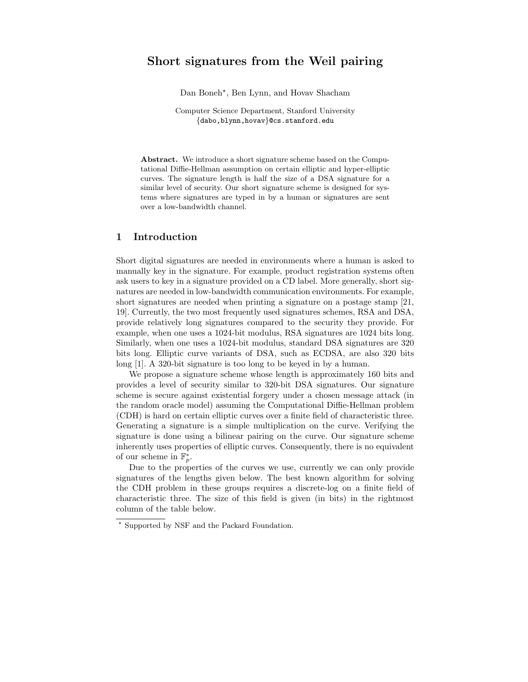# Short signatures from the Weil pairing

Dan Boneh<sup>\*</sup>, Ben Lynn, and Hovav Shacham

Computer Science Department, Stanford University {dabo,blynn,hovav}@cs.stanford.edu

Abstract. We introduce a short signature scheme based on the Computational Diffie-Hellman assumption on certain elliptic and hyper-elliptic curves. The signature length is half the size of a DSA signature for a similar level of security. Our short signature scheme is designed for systems where signatures are typed in by a human or signatures are sent over a low-bandwidth channel.

# 1 Introduction

Short digital signatures are needed in environments where a human is asked to manually key in the signature. For example, product registration systems often ask users to key in a signature provided on a CD label. More generally, short signatures are needed in low-bandwidth communication environments. For example, short signatures are needed when printing a signature on a postage stamp [21, 19]. Currently, the two most frequently used signatures schemes, RSA and DSA, provide relatively long signatures compared to the security they provide. For example, when one uses a 1024-bit modulus, RSA signatures are 1024 bits long. Similarly, when one uses a 1024-bit modulus, standard DSA signatures are 320 bits long. Elliptic curve variants of DSA, such as ECDSA, are also 320 bits long [1]. A 320-bit signature is too long to be keyed in by a human.

We propose a signature scheme whose length is approximately 160 bits and provides a level of security similar to 320-bit DSA signatures. Our signature scheme is secure against existential forgery under a chosen message attack (in the random oracle model) assuming the Computational Diffie-Hellman problem (CDH) is hard on certain elliptic curves over a finite field of characteristic three. Generating a signature is a simple multiplication on the curve. Verifying the signature is done using a bilinear pairing on the curve. Our signature scheme inherently uses properties of elliptic curves. Consequently, there is no equivalent of our scheme in  $\mathbb{F}_p^*$ .

Due to the properties of the curves we use, currently we can only provide signatures of the lengths given below. The best known algorithm for solving the CDH problem in these groups requires a discrete-log on a finite field of characteristic three. The size of this field is given (in bits) in the rightmost column of the table below.

<sup>?</sup> Supported by NSF and the Packard Foundation.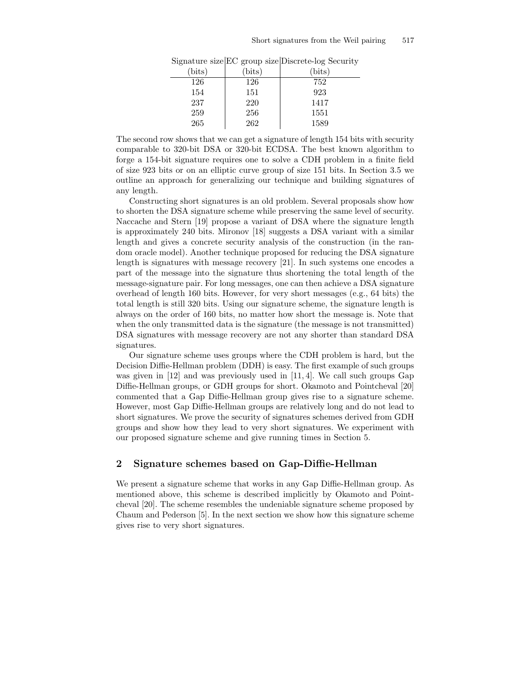| $(\text{bits})$ | (bits) | $(\text{bits})$ |
|-----------------|--------|-----------------|
| 126             | 126    | 752             |
| 154             | 151    | 923             |
| 237             | 220    | 1417            |
| 259             | 256    | 1551            |
| 265             | 262    | 1589            |

Signature size EC group size Discrete-log Security

The second row shows that we can get a signature of length 154 bits with security comparable to 320-bit DSA or 320-bit ECDSA. The best known algorithm to forge a 154-bit signature requires one to solve a CDH problem in a finite field of size 923 bits or on an elliptic curve group of size 151 bits. In Section 3.5 we outline an approach for generalizing our technique and building signatures of any length.

Constructing short signatures is an old problem. Several proposals show how to shorten the DSA signature scheme while preserving the same level of security. Naccache and Stern [19] propose a variant of DSA where the signature length is approximately 240 bits. Mironov [18] suggests a DSA variant with a similar length and gives a concrete security analysis of the construction (in the random oracle model). Another technique proposed for reducing the DSA signature length is signatures with message recovery [21]. In such systems one encodes a part of the message into the signature thus shortening the total length of the message-signature pair. For long messages, one can then achieve a DSA signature overhead of length 160 bits. However, for very short messages (e.g., 64 bits) the total length is still 320 bits. Using our signature scheme, the signature length is always on the order of 160 bits, no matter how short the message is. Note that when the only transmitted data is the signature (the message is not transmitted) DSA signatures with message recovery are not any shorter than standard DSA signatures.

Our signature scheme uses groups where the CDH problem is hard, but the Decision Diffie-Hellman problem (DDH) is easy. The first example of such groups was given in [12] and was previously used in [11, 4]. We call such groups Gap Diffie-Hellman groups, or GDH groups for short. Okamoto and Pointcheval [20] commented that a Gap Diffie-Hellman group gives rise to a signature scheme. However, most Gap Diffie-Hellman groups are relatively long and do not lead to short signatures. We prove the security of signatures schemes derived from GDH groups and show how they lead to very short signatures. We experiment with our proposed signature scheme and give running times in Section 5.

# 2 Signature schemes based on Gap-Diffie-Hellman

We present a signature scheme that works in any Gap Diffie-Hellman group. As mentioned above, this scheme is described implicitly by Okamoto and Pointcheval [20]. The scheme resembles the undeniable signature scheme proposed by Chaum and Pederson [5]. In the next section we show how this signature scheme gives rise to very short signatures.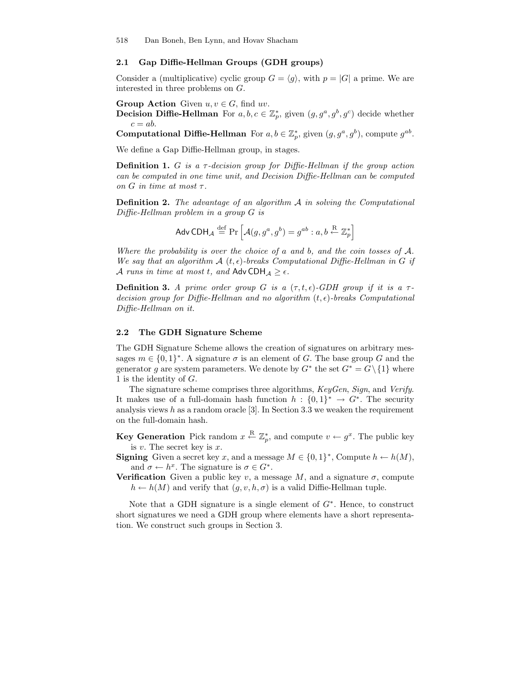### 2.1 Gap Diffie-Hellman Groups (GDH groups)

Consider a (multiplicative) cyclic group  $G = \langle q \rangle$ , with  $p = |G|$  a prime. We are interested in three problems on G.

**Group Action** Given  $u, v \in G$ , find uv.

**Decision Diffie-Hellman** For  $a, b, c \in \mathbb{Z}_p^*$ , given  $(g, g^a, g^b, g^c)$  decide whether  $c = ab$ .

**Computational Diffie-Hellman** For  $a, b \in \mathbb{Z}_p^*$ , given  $(g, g^a, g^b)$ , compute  $g^{ab}$ .

We define a Gap Diffie-Hellman group, in stages.

**Definition 1.** G is a  $\tau$ -decision group for Diffie-Hellman if the group action can be computed in one time unit, and Decision Diffie-Hellman can be computed on G in time at most  $\tau$ .

Definition 2. The advantage of an algorithm A in solving the Computational Diffie-Hellman problem in a group G is

$$
\mathsf{Adv}\,\mathsf{CDH}_{\mathcal{A}} \stackrel{\text{def}}{=} \Pr\left[\mathcal{A}(g, g^a, g^b) = g^{ab} : a, b \stackrel{\mathsf{R}}{\leftarrow} \mathbb{Z}_p^*\right]
$$

Where the probability is over the choice of  $a$  and  $b$ , and the coin tosses of  $A$ . We say that an algorithm  $\mathcal{A}(t, \epsilon)$ -breaks Computational Diffie-Hellman in G if A runs in time at most t, and Adv CDH $_A \geq \epsilon$ .

**Definition 3.** A prime order group G is a  $(\tau, t, \epsilon)$ -GDH group if it is a  $\tau$ decision group for Diffie-Hellman and no algorithm  $(t, \epsilon)$ -breaks Computational Diffie-Hellman on it.

### 2.2 The GDH Signature Scheme

The GDH Signature Scheme allows the creation of signatures on arbitrary messages  $m \in \{0,1\}^*$ . A signature  $\sigma$  is an element of G. The base group G and the generator g are system parameters. We denote by  $G^*$  the set  $G^* = G \setminus \{1\}$  where 1 is the identity of G.

The signature scheme comprises three algorithms, KeyGen, Sign, and Verify. It makes use of a full-domain hash function  $h: \{0,1\}^* \to G^*$ . The security analysis views  $h$  as a random oracle [3]. In Section 3.3 we weaken the requirement on the full-domain hash.

**Key Generation** Pick random  $x \stackrel{\text{R}}{\leftarrow} \mathbb{Z}_p^*$ , and compute  $v \leftarrow g^x$ . The public key is  $v$ . The secret key is  $x$ .

**Signing** Given a secret key x, and a message  $M \in \{0, 1\}^*$ , Compute  $h \leftarrow h(M)$ , and  $\sigma \leftarrow h^x$ . The signature is  $\sigma \in G^*$ .

**Verification** Given a public key v, a message M, and a signature  $\sigma$ , compute  $h \leftarrow h(M)$  and verify that  $(g, v, h, \sigma)$  is a valid Diffie-Hellman tuple.

Note that a GDH signature is a single element of  $G^*$ . Hence, to construct short signatures we need a GDH group where elements have a short representation. We construct such groups in Section 3.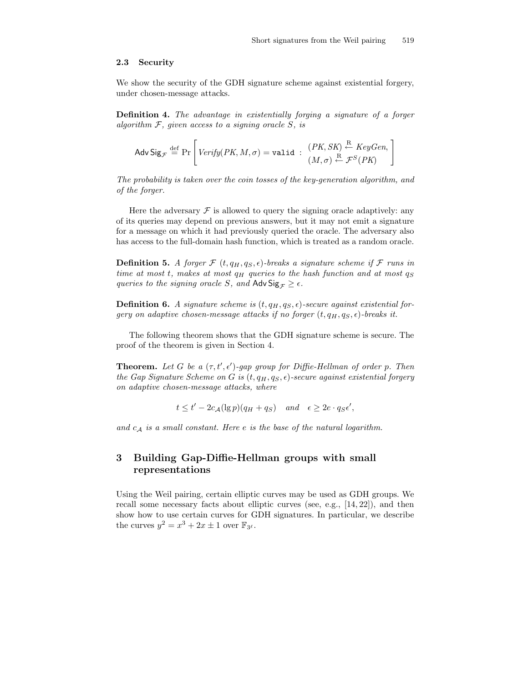### 2.3 Security

We show the security of the GDH signature scheme against existential forgery, under chosen-message attacks.

Definition 4. The advantage in existentially forging a signature of a forger algorithm  $F$ , given access to a signing oracle  $S$ , is

$$
\mathsf{Adv}\, \mathsf{Sig}_{\mathcal{F}} \stackrel{\mathrm{def}}{=} \Pr\left[\, \mathit{Verify(PK}, M, \sigma) = \mathtt{valid} \; : \; \begin{array}{c} (PK, SK) \stackrel{\mathrm{R}}{\leftarrow} \mathit{KeyGen}, \\ (M, \sigma) \stackrel{\mathrm{R}}{\leftarrow} \mathcal{F}^S(PK) \end{array} \right]
$$

The probability is taken over the coin tosses of the key-generation algorithm, and of the forger.

Here the adversary  $\mathcal F$  is allowed to query the signing oracle adaptively: any of its queries may depend on previous answers, but it may not emit a signature for a message on which it had previously queried the oracle. The adversary also has access to the full-domain hash function, which is treated as a random oracle.

**Definition 5.** A forger  $\mathcal{F}$  (t,  $q_H, q_S, \epsilon$ )-breaks a signature scheme if  $\mathcal{F}$  runs in time at most t, makes at most  $q_H$  queries to the hash function and at most  $q_S$ queries to the signing oracle S, and Adv  $\text{Sig}_{\mathcal{F}} \geq \epsilon$ .

**Definition 6.** A signature scheme is  $(t, q_H, q_S, \epsilon)$ -secure against existential forgery on adaptive chosen-message attacks if no forger  $(t, q_H, q_S, \epsilon)$ -breaks it.

The following theorem shows that the GDH signature scheme is secure. The proof of the theorem is given in Section 4.

**Theorem.** Let G be a  $(\tau, t', \epsilon')$ -gap group for Diffie-Hellman of order p. Then the Gap Signature Scheme on G is  $(t, q_H, q_S, \epsilon)$ -secure against existential forgery on adaptive chosen-message attacks, where

$$
t \le t' - 2c_{\mathcal{A}}(\lg p)(q_H + q_S)
$$
 and  $\epsilon \ge 2e \cdot q_S \epsilon'$ ,

and  $c_A$  is a small constant. Here e is the base of the natural logarithm.

# 3 Building Gap-Diffie-Hellman groups with small representations

Using the Weil pairing, certain elliptic curves may be used as GDH groups. We recall some necessary facts about elliptic curves (see, e.g., [14, 22]), and then show how to use certain curves for GDH signatures. In particular, we describe the curves  $y^2 = x^3 + 2x \pm 1$  over  $\mathbb{F}_{3^{\ell}}$ .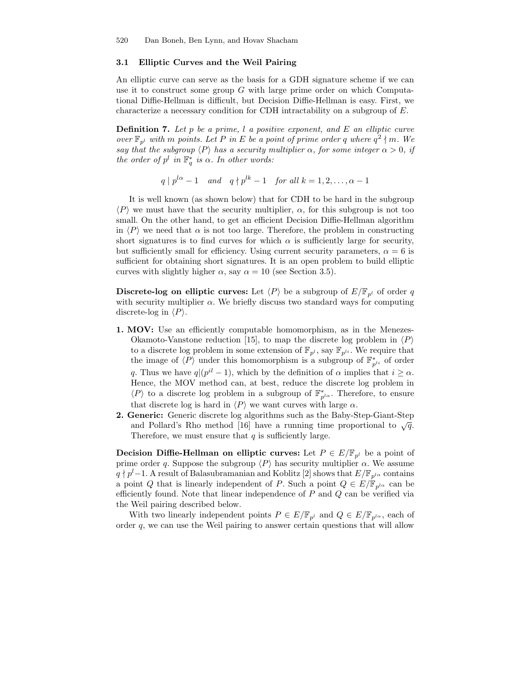### 3.1 Elliptic Curves and the Weil Pairing

An elliptic curve can serve as the basis for a GDH signature scheme if we can use it to construct some group  $G$  with large prime order on which Computational Diffie-Hellman is difficult, but Decision Diffie-Hellman is easy. First, we characterize a necessary condition for CDH intractability on a subgroup of E.

**Definition 7.** Let p be a prime, l a positive exponent, and  $E$  an elliptic curve over  $\mathbb{F}_{p^l}$  with m points. Let P in E be a point of prime order q where  $q^2 \nmid m$ . We say that the subgroup  $\langle P \rangle$  has a security multiplier  $\alpha$ , for some integer  $\alpha > 0$ , if the order of  $p^l$  in  $\mathbb{F}_q^*$  is  $\alpha$ . In other words:

 $q \mid p^{l\alpha} - 1$  and  $q \nmid p^{lk} - 1$  for all  $k = 1, 2, \ldots, \alpha - 1$ 

It is well known (as shown below) that for CDH to be hard in the subgroup  $\langle P \rangle$  we must have that the security multiplier,  $\alpha$ , for this subgroup is not too small. On the other hand, to get an efficient Decision Diffie-Hellman algorithm in  $\langle P \rangle$  we need that  $\alpha$  is not too large. Therefore, the problem in constructing short signatures is to find curves for which  $\alpha$  is sufficiently large for security, but sufficiently small for efficiency. Using current security parameters,  $\alpha = 6$  is sufficient for obtaining short signatures. It is an open problem to build elliptic curves with slightly higher  $\alpha$ , say  $\alpha = 10$  (see Section 3.5).

**Discrete-log on elliptic curves:** Let  $\langle P \rangle$  be a subgroup of  $E/\mathbb{F}_{p^l}$  of order q with security multiplier  $\alpha$ . We briefly discuss two standard ways for computing discrete-log in  $\langle P \rangle$ .

- 1. MOV: Use an efficiently computable homomorphism, as in the Menezes-Okamoto-Vanstone reduction [15], to map the discrete log problem in  $\langle P \rangle$ to a discrete log problem in some extension of  $\mathbb{F}_{p^l}$ , say  $\mathbb{F}_{p^{li}}$ . We require that the image of  $\langle P \rangle$  under this homomorphism is a subgroup of  $\mathbb{F}_{p^{li}}^*$  of order q. Thus we have  $q|(p^{il}-1)$ , which by the definition of  $\alpha$  implies that  $i \geq \alpha$ . Hence, the MOV method can, at best, reduce the discrete log problem in  $\langle P \rangle$  to a discrete log problem in a subgroup of  $\mathbb{F}_{p^{l\alpha}}^*$ . Therefore, to ensure that discrete log is hard in  $\langle P \rangle$  we want curves with large  $\alpha$ .
- 2. Generic: Generic discrete log algorithms such as the Baby-Step-Giant-Step and Pollard's Rho method [16] have a running time proportional to  $\sqrt{q}$ . Therefore, we must ensure that  $q$  is sufficiently large.

**Decision Diffie-Hellman on elliptic curves:** Let  $P \in E/\mathbb{F}_{n^l}$  be a point of prime order q. Suppose the subgroup  $\langle P \rangle$  has security multiplier  $\alpha$ . We assume  $q \nmid p<sup>l</sup>-1$ . A result of Balasubramanian and Koblitz [2] shows that  $E/F_{p<sup>l</sup>}$  contains a point Q that is linearly independent of P. Such a point  $Q \in E/\mathbb{F}_{p^{l\alpha}}$  can be efficiently found. Note that linear independence of  $P$  and  $Q$  can be verified via the Weil pairing described below.

With two linearly independent points  $P \in E/\mathbb{F}_{p^l}$  and  $Q \in E/\mathbb{F}_{p^{l\alpha}}$ , each of order  $q$ , we can use the Weil pairing to answer certain questions that will allow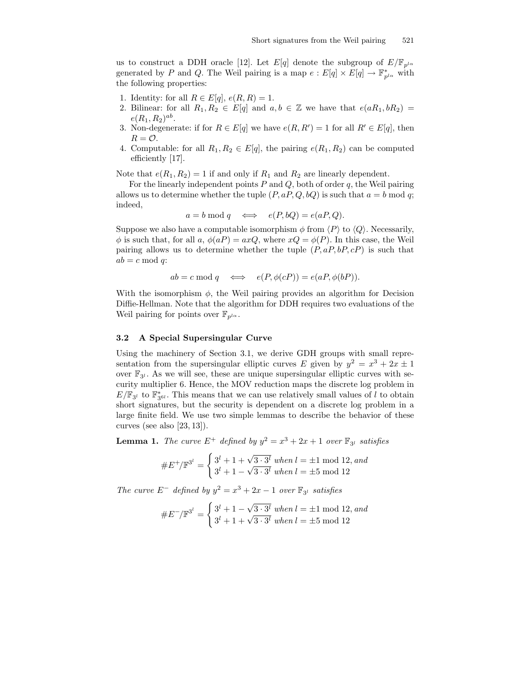us to construct a DDH oracle [12]. Let E[q] denote the subgroup of  $E/\mathbb{F}_{p^{l\alpha}}$ generated by P and Q. The Weil pairing is a map  $e: E[q] \times E[q] \to \mathbb{F}_{p^{l\alpha}}^*$  with the following properties:

- 1. Identity: for all  $R \in E[q], e(R, R) = 1.$
- 2. Bilinear: for all  $R_1, R_2 \in E[q]$  and  $a, b \in \mathbb{Z}$  we have that  $e(aR_1, bR_2) =$  $e(R_1, R_2)^{ab}.$
- 3. Non-degenerate: if for  $R \in E[q]$  we have  $e(R, R') = 1$  for all  $R' \in E[q]$ , then  $R = \mathcal{O}.$
- 4. Computable: for all  $R_1, R_2 \in E[q]$ , the pairing  $e(R_1, R_2)$  can be computed efficiently [17].

Note that  $e(R_1, R_2) = 1$  if and only if  $R_1$  and  $R_2$  are linearly dependent.

For the linearly independent points  $P$  and  $Q$ , both of order  $q$ , the Weil pairing allows us to determine whether the tuple  $(P, aP, Q, bQ)$  is such that  $a = b \mod q$ ; indeed,

$$
a = b \mod q \iff e(P, bQ) = e(aP, Q).
$$

Suppose we also have a computable isomorphism  $\phi$  from  $\langle P \rangle$  to  $\langle Q \rangle$ . Necessarily,  $\phi$  is such that, for all a,  $\phi(aP) = axQ$ , where  $xQ = \phi(P)$ . In this case, the Weil pairing allows us to determine whether the tuple  $(P, aP, bP, cP)$  is such that  $ab = c \bmod q$ :

$$
ab = c \bmod q \iff e(P, \phi(cP)) = e(aP, \phi(bP)).
$$

With the isomorphism  $\phi$ , the Weil pairing provides an algorithm for Decision Diffie-Hellman. Note that the algorithm for DDH requires two evaluations of the Weil pairing for points over  $\mathbb{F}_{p^{l\alpha}}$ .

### 3.2 A Special Supersingular Curve

Using the machinery of Section 3.1, we derive GDH groups with small representation from the supersingular elliptic curves E given by  $y^2 = x^3 + 2x \pm 1$ over  $\mathbb{F}_{3^l}$ . As we will see, these are unique supersingular elliptic curves with security multiplier 6. Hence, the MOV reduction maps the discrete log problem in  $E/\mathbb{F}_{3^l}$  to  $\mathbb{F}_{3^{6l}}^*$ . This means that we can use relatively small values of l to obtain short signatures, but the security is dependent on a discrete log problem in a large finite field. We use two simple lemmas to describe the behavior of these curves (see also [23, 13]).

**Lemma 1.** The curve  $E^+$  defined by  $y^2 = x^3 + 2x + 1$  over  $\mathbb{F}_{3^l}$  satisfies

$$
\#E^+/\mathbb{F}^{3^l} = \begin{cases} 3^l + 1 + \sqrt{3 \cdot 3^l} \text{ when } l = \pm 1 \text{ mod } 12, \text{ and} \\ 3^l + 1 - \sqrt{3 \cdot 3^l} \text{ when } l = \pm 5 \text{ mod } 12 \end{cases}
$$

The curve  $E^-$  defined by  $y^2 = x^3 + 2x - 1$  over  $\mathbb{F}_{3^l}$  satisfies

$$
\#E^{-}/\mathbb{F}^{3^{l}} = \begin{cases} 3^{l} + 1 - \sqrt{3 \cdot 3^{l}} \text{ when } l = \pm 1 \text{ mod } 12, \text{ and} \\ 3^{l} + 1 + \sqrt{3 \cdot 3^{l}} \text{ when } l = \pm 5 \text{ mod } 12 \end{cases}
$$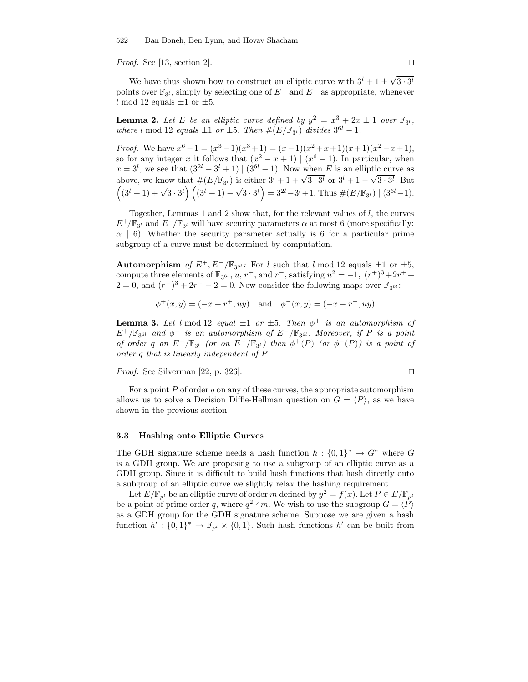*Proof.* See [13, section 2].  $\Box$ 

We have thus shown how to construct an elliptic curve with  $3^l + 1 \pm \sqrt{3 \cdot 3^l}$ points over  $\mathbb{F}_{3}$ , simply by selecting one of  $E^-$  and  $E^+$  as appropriate, whenever l mod 12 equals  $\pm 1$  or  $\pm 5$ .

**Lemma 2.** Let E be an elliptic curve defined by  $y^2 = x^3 + 2x \pm 1$  over  $\mathbb{F}_{3^l}$ , where l mod 12 equals  $\pm 1$  or  $\pm 5$ . Then  $\#(E/\mathbb{F}_{3^l})$  divides  $3^{6l} - 1$ .

*Proof.* We have  $x^6 - 1 = (x^3 - 1)(x^3 + 1) = (x - 1)(x^2 + x + 1)(x + 1)(x^2 - x + 1)$ , so for any integer x it follows that  $(x^2 - x + 1) | (x^6 - 1)$ . In particular, when  $x = 3^l$ , we see that  $(3^{2l} - 3^l + 1) | (3^{6l} - 1)$ . Now when E is an elliptic curve as above, we know that  $\#(E/\mathbb{F}_{3^l})$  is either  $3^l + 1 + \sqrt{3 \cdot 3^l}$  or  $3^l + 1 - \sqrt{3 \cdot 3^l}$ . But  $((3^l + 1) + \sqrt{3 \cdot 3^l}) ((3^l + 1) - \sqrt{3 \cdot 3^l}) = 3^{2l} - 3^l + 1$ . Thus  $\#(E/\mathbb{F}_{3^l}) | (3^{6l} - 1)$ .

Together, Lemmas 1 and 2 show that, for the relevant values of  $l$ , the curves  $E^+/\mathbb{F}_{3^l}$  and  $E^-/\mathbb{F}_{3^l}$  will have security parameters  $\alpha$  at most 6 (more specifically:  $\alpha$  | 6). Whether the security parameter actually is 6 for a particular prime subgroup of a curve must be determined by computation.

Automorphism of  $E^+$ ,  $E^-/\mathbb{F}_{3^{6l}}$ : For l such that l mod 12 equals  $\pm 1$  or  $\pm 5$ , compute three elements of  $\mathbb{F}_{3^{6l}}, u, r^+$ , and  $r^-$ , satisfying  $u^2 = -1$ ,  $(r^+)^3 + 2r^+$  $2 = 0$ , and  $(r<sup>-</sup>)<sup>3</sup> + 2r<sup>-</sup> - 2 = 0$ . Now consider the following maps over  $\mathbb{F}_{3^{6l}}$ :

 $\phi^+(x, y) = (-x + r^+, uy)$  and  $\phi^-(x, y) = (-x + r^-, uy)$ 

**Lemma 3.** Let l mod 12 equal  $\pm 1$  or  $\pm 5$ . Then  $\phi^+$  is an automorphism of  $E^+/\mathbb{F}_3$ <sub>6l</sub> and  $\phi^-$  is an automorphism of  $E^-/\mathbb{F}_3$ <sub>6l</sub>. Moreover, if P is a point of order q on  $E^+/\mathbb{F}_{3}$  (or on  $E^-/\mathbb{F}_{3}$ ) then  $\phi^+(P)$  (or  $\phi^-(P)$ ) is a point of order q that is linearly independent of P.

*Proof.* See Silverman [22, p. 326].

For a point  $P$  of order  $q$  on any of these curves, the appropriate automorphism allows us to solve a Decision Diffie-Hellman question on  $G = \langle P \rangle$ , as we have shown in the previous section.

#### 3.3 Hashing onto Elliptic Curves

The GDH signature scheme needs a hash function  $h: \{0,1\}^* \to G^*$  where G is a GDH group. We are proposing to use a subgroup of an elliptic curve as a GDH group. Since it is difficult to build hash functions that hash directly onto a subgroup of an elliptic curve we slightly relax the hashing requirement.

Let  $E/\mathbb{F}_{p^l}$  be an elliptic curve of order m defined by  $y^2 = f(x)$ . Let  $P \in E/\mathbb{F}_{p^l}$ be a point of prime order q, where  $q^2 \nmid m$ . We wish to use the subgroup  $G = \langle \hat{P} \rangle$ as a GDH group for the GDH signature scheme. Suppose we are given a hash function  $h' : \{0,1\}^* \to \mathbb{F}_{p^l} \times \{0,1\}$ . Such hash functions  $h'$  can be built from

$$
\Box
$$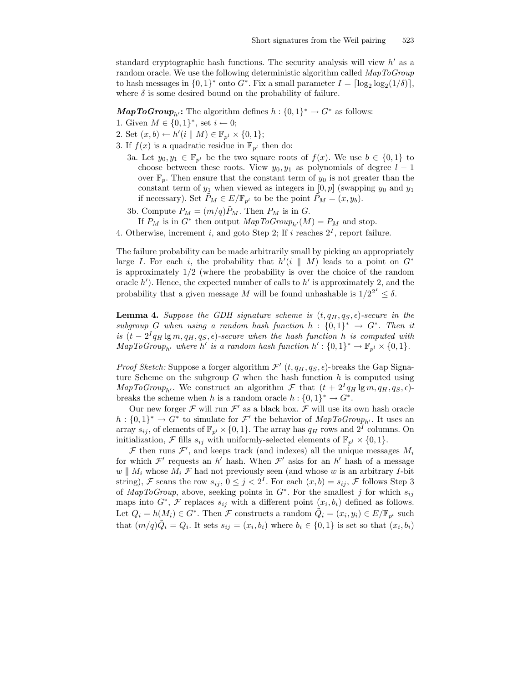standard cryptographic hash functions. The security analysis will view  $h'$  as a random oracle. We use the following deterministic algorithm called MapToGroup to hash messages in  $\{0,1\}^*$  onto  $G^*$ . Fix a small parameter  $I = \lceil \log_2 \log_2(1/\delta) \rceil$ , where  $\delta$  is some desired bound on the probability of failure.

**MapToGroup**<sub>h</sub>: The algorithm defines  $h: \{0, 1\}^* \to G^*$  as follows:

- 1. Given  $M \in \{0,1\}^*$ , set  $i \leftarrow 0$ ;
- 2. Set  $(x, b) \leftarrow h'(i \parallel M) \in \mathbb{F}_{p^l} \times \{0, 1\};$
- 3. If  $f(x)$  is a quadratic residue in  $\mathbb{F}_{p^l}$  then do:
	- 3a. Let  $y_0, y_1 \in \mathbb{F}_{p^l}$  be the two square roots of  $f(x)$ . We use  $b \in \{0,1\}$  to choose between these roots. View  $y_0, y_1$  as polynomials of degree  $l - 1$ over  $\mathbb{F}_p$ . Then ensure that the constant term of  $y_0$  is not greater than the constant term of  $y_1$  when viewed as integers in  $[0, p]$  (swapping  $y_0$  and  $y_1$ ) if necessary). Set  $P_M \in E/\mathbb{F}_{p^l}$  to be the point  $P_M = (x, y_b)$ .
	- 3b. Compute  $P_M = (m/q)P_M$ . Then  $P_M$  is in G. If  $P_M$  is in  $G^*$  then output  $MapToGroup_{h'}(M) = P_M$  and stop.
- 4. Otherwise, increment *i*, and goto Step 2; If *i* reaches  $2<sup>I</sup>$ , report failure.

The failure probability can be made arbitrarily small by picking an appropriately large I. For each i, the probability that  $h'(i \parallel M)$  leads to a point on  $G^*$ is approximately  $1/2$  (where the probability is over the choice of the random oracle  $h'$ ). Hence, the expected number of calls to  $h'$  is approximately 2, and the probability that a given message M will be found unhashable is  $1/2^{2^I} \leq \delta$ .

**Lemma 4.** Suppose the GDH signature scheme is  $(t, q_H, q_S, \epsilon)$ -secure in the subgroup G when using a random hash function  $h: \{0,1\}^* \to G^*$ . Then it is  $(t - 2^I q_H \lg m, q_H, q_S, \epsilon)$ -secure when the hash function h is computed with  $MapToGroup_{h'}$  where h' is a random hash function  $h':\{0,1\}^* \to \mathbb{F}_{p^l} \times \{0,1\}.$ 

*Proof Sketch:* Suppose a forger algorithm  $\mathcal{F}'(t, q_H, q_S, \epsilon)$ -breaks the Gap Signature Scheme on the subgroup  $G$  when the hash function  $h$  is computed using  $MapToGroup_{h'}$ . We construct an algorithm F that  $(t + 2^Iq_H \lg m, q_H, q_S, \epsilon)$ breaks the scheme when h is a random oracle  $h: \{0,1\}^* \to G^*$ .

Our new forger  $\mathcal F$  will run  $\mathcal F'$  as a black box.  $\mathcal F$  will use its own hash oracle  $h: \{0,1\}^* \to G^*$  to simulate for  $\mathcal{F}'$  the behavior of  $MapToGroup_{h'}$ . It uses an array  $s_{ij}$ , of elements of  $\mathbb{F}_{p^l} \times \{0, 1\}$ . The array has  $q_H$  rows and  $2^I$  columns. On initialization,  $\mathcal F$  fills  $s_{ij}$  with uniformly-selected elements of  $\mathbb F_{p^l} \times \{0,1\}.$ 

 $\mathcal F$  then runs  $\mathcal F'$ , and keeps track (and indexes) all the unique messages  $M_i$ for which  $\mathcal{F}'$  requests an h' hash. When  $\mathcal{F}'$  asks for an h' hash of a message  $w \parallel M_i$  whose  $M_i \mathcal{F}$  had not previously seen (and whose w is an arbitrary I-bit string), F scans the row  $s_{ij}$ ,  $0 \leq j < 2^I$ . For each  $(x, b) = s_{ij}$ , F follows Step 3 of MapToGroup, above, seeking points in  $G^*$ . For the smallest j for which  $s_{ij}$ maps into  $G^*$ ,  $\mathcal F$  replaces  $s_{ij}$  with a different point  $(x_i, b_i)$  defined as follows. Let  $Q_i = h(M_i) \in G^*$ . Then  $\mathcal F$  constructs a random  $\tilde{Q}_i = (x_i, y_i) \in E/\mathbb{F}_{p^l}$  such that  $(m/q)\tilde{Q}_i = Q_i$ . It sets  $s_{ij} = (x_i, b_i)$  where  $b_i \in \{0, 1\}$  is set so that  $(x_i, b_i)$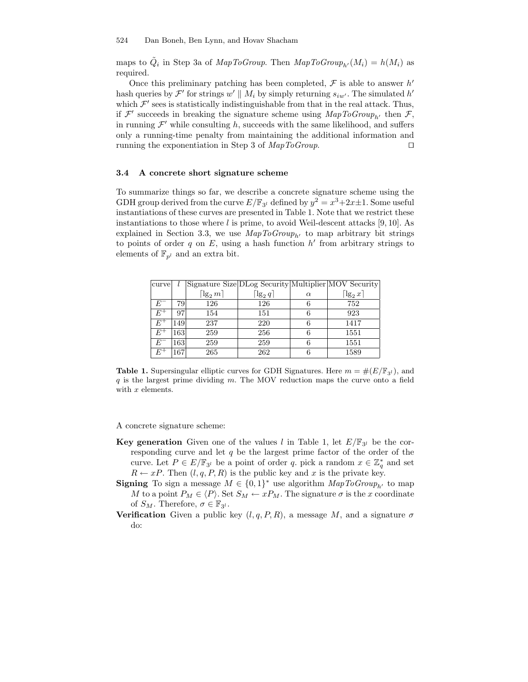maps to  $\tilde{Q}_i$  in Step 3a of *MapToGroup*. Then  $\text{MapToGroup}_{h'}(M_i) = h(M_i)$  as required.

Once this preliminary patching has been completed,  $\mathcal F$  is able to answer  $h'$ hash queries by  $\mathcal{F}'$  for strings  $w' \parallel M_i$  by simply returning  $s_{iw'}$ . The simulated h' which  $\mathcal{F}'$  sees is statistically indistinguishable from that in the real attack. Thus, if  $\mathcal{F}'$  succeeds in breaking the signature scheme using  $\mathit{MapToGroup}_{h'}$  then  $\mathcal{F},$ in running  $\mathcal{F}'$  while consulting h, succeeds with the same likelihood, and suffers only a running-time penalty from maintaining the additional information and running the exponentiation in Step 3 of  $MapToGroup.$ 

#### 3.4 A concrete short signature scheme

To summarize things so far, we describe a concrete signature scheme using the GDH group derived from the curve  $E/\mathbb{F}_{3^l}$  defined by  $y^2 = x^3 + 2x \pm 1$ . Some useful instantiations of these curves are presented in Table 1. Note that we restrict these instantiations to those where  $l$  is prime, to avoid Weil-descent attacks [9, 10]. As explained in Section 3.3, we use  $MapToGroup_{b'}$  to map arbitrary bit strings to points of order  $q$  on  $E$ , using a hash function  $h'$  from arbitrary strings to elements of  $\mathbb{F}_{p^l}$  and an extra bit.

| curve          |     |                         | Signature Size DLog Security Multiplier MOV Security |          |                         |
|----------------|-----|-------------------------|------------------------------------------------------|----------|-------------------------|
|                |     | $\lceil \lg_2 m \rceil$ | $\lceil \lg_2 q \rceil$                              | $\alpha$ | $\lceil \lg_2 x \rceil$ |
| $E^-$          | 79  | 126                     | 126                                                  |          | 752                     |
| $E^\pm$        | 97  | 154                     | 151                                                  |          | 923                     |
| $E^+$          | 149 | 237                     | 220                                                  |          | 1417                    |
| $E^+$          | 163 | 259                     | 256                                                  | 6        | 1551                    |
| $E^-$          | 163 | 259                     | 259                                                  |          | 1551                    |
| $E^{\text{-}}$ | 167 | 265                     | 262                                                  |          | 1589                    |

**Table 1.** Supersingular elliptic curves for GDH Signatures. Here  $m = \#(E/\mathbb{F}_{3l})$ , and  $q$  is the largest prime dividing m. The MOV reduction maps the curve onto a field with x elements.

A concrete signature scheme:

- **Key generation** Given one of the values l in Table 1, let  $E/\mathbb{F}_{3}$  be the corresponding curve and let  $q$  be the largest prime factor of the order of the curve. Let  $P \in E/\mathbb{F}_{3^l}$  be a point of order q. pick a random  $x \in \mathbb{Z}_q^*$  and set  $R \leftarrow xP$ . Then  $(l, q, P, R)$  is the public key and x is the private key.
- **Signing** To sign a message  $M \in \{0,1\}^*$  use algorithm  $MapToGroup_{h'}$  to map M to a point  $P_M \in \langle P \rangle$ . Set  $S_M \leftarrow xP_M$ . The signature  $\sigma$  is the x coordinate of  $S_M$ . Therefore,  $\sigma \in \mathbb{F}_{3^l}$ .
- **Verification** Given a public key  $(l, q, P, R)$ , a message M, and a signature  $\sigma$ do: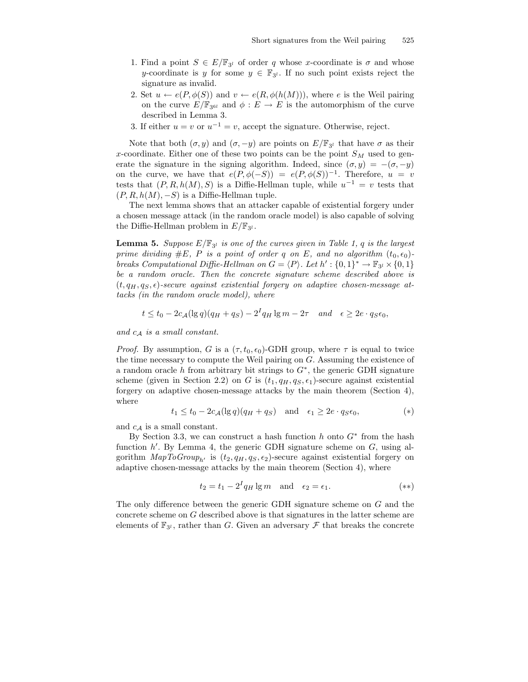- 1. Find a point  $S \in E/\mathbb{F}_{3^l}$  of order q whose x-coordinate is  $\sigma$  and whose y-coordinate is y for some  $y \in \mathbb{F}_{3}$ . If no such point exists reject the signature as invalid.
- 2. Set  $u \leftarrow e(P, \phi(S))$  and  $v \leftarrow e(R, \phi(h(M)))$ , where e is the Weil pairing on the curve  $E/\mathbb{F}_{3^{6l}}$  and  $\phi: E \to E$  is the automorphism of the curve described in Lemma 3.
- 3. If either  $u = v$  or  $u^{-1} = v$ , accept the signature. Otherwise, reject.

Note that both  $(\sigma, y)$  and  $(\sigma, -y)$  are points on  $E/\mathbb{F}_{3}$  that have  $\sigma$  as their x-coordinate. Either one of these two points can be the point  $S_M$  used to generate the signature in the signing algorithm. Indeed, since  $(\sigma, y) = -(\sigma, -y)$ on the curve, we have that  $e(P, \phi(-S)) = e(P, \phi(S))^{-1}$ . Therefore,  $u = v$ tests that  $(P, R, h(M), S)$  is a Diffie-Hellman tuple, while  $u^{-1} = v$  tests that  $(P, R, h(M), -S)$  is a Diffie-Hellman tuple.

The next lemma shows that an attacker capable of existential forgery under a chosen message attack (in the random oracle model) is also capable of solving the Diffie-Hellman problem in  $E/\mathbb{F}_{3^l}$ .

**Lemma 5.** Suppose  $E/\mathbb{F}_{3}$  is one of the curves given in Table 1, q is the largest prime dividing #E, P is a point of order q on E, and no algorithm  $(t_0, \epsilon_0)$ breaks Computational Diffie-Hellman on  $G = \langle P \rangle$ . Let  $h' : \{0,1\}^* \to \mathbb{F}_{3^l} \times \{0,1\}$ be a random oracle. Then the concrete signature scheme described above is  $(t, q_H, q_S, \epsilon)$ -secure against existential forgery on adaptive chosen-message attacks (in the random oracle model), where

$$
t \le t_0 - 2c_{\mathcal{A}}(\lg q)(q_H + q_S) - 2^I q_H \lg m - 2\tau \quad and \quad \epsilon \ge 2e \cdot q_S \epsilon_0,
$$

and  $c_A$  is a small constant.

*Proof.* By assumption, G is a  $(\tau, t_0, \epsilon_0)$ -GDH group, where  $\tau$  is equal to twice the time necessary to compute the Weil pairing on G. Assuming the existence of a random oracle h from arbitrary bit strings to  $G^*$ , the generic GDH signature scheme (given in Section 2.2) on G is  $(t_1, q_H, q_S, \epsilon_1)$ -secure against existential forgery on adaptive chosen-message attacks by the main theorem (Section 4), where

$$
t_1 \le t_0 - 2c_{\mathcal{A}}(\lg q)(q_H + q_S)
$$
 and  $\epsilon_1 \ge 2e \cdot q_S \epsilon_0,$  (\*)

and  $c_{\mathcal{A}}$  is a small constant.

By Section 3.3, we can construct a hash function  $h$  onto  $G^*$  from the hash function  $h'$ . By Lemma 4, the generic GDH signature scheme on  $G$ , using algorithm  $MapToGroup_{h'}$  is  $(t_2, q_H, q_S, \epsilon_2)$ -secure against existential forgery on adaptive chosen-message attacks by the main theorem (Section 4), where

$$
t_2 = t_1 - 2^I q_H \lg m \quad \text{and} \quad \epsilon_2 = \epsilon_1. \tag{**}
$$

The only difference between the generic GDH signature scheme on G and the concrete scheme on G described above is that signatures in the latter scheme are elements of  $\mathbb{F}_{3^l}$ , rather than G. Given an adversary  $\mathcal F$  that breaks the concrete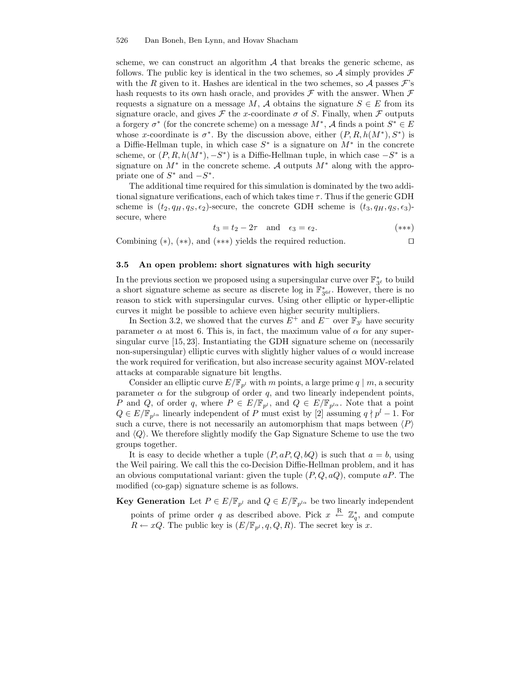#### 526 Dan Boneh, Ben Lynn, and Hovav Shacham

scheme, we can construct an algorithm  $\mathcal A$  that breaks the generic scheme, as follows. The public key is identical in the two schemes, so A simply provides  $\mathcal F$ with the R given to it. Hashes are identical in the two schemes, so A passes  $\mathcal{F}$ 's hash requests to its own hash oracle, and provides  $\mathcal F$  with the answer. When  $\mathcal F$ requests a signature on a message M, A obtains the signature  $S \in E$  from its signature oracle, and gives  $\mathcal F$  the x-coordinate  $\sigma$  of S. Finally, when  $\mathcal F$  outputs a forgery  $\sigma^*$  (for the concrete scheme) on a message  $M^*$ ,  $\mathcal A$  finds a point  $S^* \in E$ whose x-coordinate is  $\sigma^*$ . By the discussion above, either  $(P, R, h(M^*), S^*)$  is a Diffie-Hellman tuple, in which case  $S^*$  is a signature on  $M^*$  in the concrete scheme, or  $(P, R, h(M^*), -S^*)$  is a Diffie-Hellman tuple, in which case  $-S^*$  is a signature on  $M^*$  in the concrete scheme. A outputs  $M^*$  along with the appropriate one of  $S^*$  and  $-S^*$ .

The additional time required for this simulation is dominated by the two additional signature verifications, each of which takes time  $\tau$ . Thus if the generic GDH scheme is  $(t_2, q_H, q_S, \epsilon_2)$ -secure, the concrete GDH scheme is  $(t_3, q_H, q_S, \epsilon_3)$ secure, where

$$
t_3 = t_2 - 2\tau \quad \text{and} \quad \epsilon_3 = \epsilon_2. \tag{***}
$$

Combining  $(*), (*),$  and  $(**)$  yields the required reduction.  $\square$ 

### 3.5 An open problem: short signatures with high security

In the previous section we proposed using a supersingular curve over  $\mathbb{F}_{3^{\ell}}^{*}$  to build a short signature scheme as secure as discrete log in  $\mathbb{F}_{3^{6\ell}}^{*}$ . However, there is no reason to stick with supersingular curves. Using other elliptic or hyper-elliptic curves it might be possible to achieve even higher security multipliers.

In Section 3.2, we showed that the curves  $E^+$  and  $E^-$  over  $\mathbb{F}_{3^l}$  have security parameter  $\alpha$  at most 6. This is, in fact, the maximum value of  $\alpha$  for any supersingular curve [15, 23]. Instantiating the GDH signature scheme on (necessarily non-supersingular) elliptic curves with slightly higher values of  $\alpha$  would increase the work required for verification, but also increase security against MOV-related attacks at comparable signature bit lengths.

Consider an elliptic curve  $E/\mathbb{F}_{p^l}$  with m points, a large prime  $q \mid m$ , a security parameter  $\alpha$  for the subgroup of order q, and two linearly independent points, P and Q, of order q, where  $P \in E/\mathbb{F}_{p^l}$ , and  $Q \in E/\mathbb{F}_{p^{l\alpha}}$ . Note that a point  $Q \in E/\mathbb{F}_{p^{l\alpha}}$  linearly independent of P must exist by [2] assuming  $q \nmid p^l - 1$ . For such a curve, there is not necessarily an automorphism that maps between  $\langle P \rangle$ and  $\langle Q \rangle$ . We therefore slightly modify the Gap Signature Scheme to use the two groups together.

It is easy to decide whether a tuple  $(P, aP, Q, bQ)$  is such that  $a = b$ , using the Weil pairing. We call this the co-Decision Diffie-Hellman problem, and it has an obvious computational variant: given the tuple  $(P,Q,aQ)$ , compute aP. The modified (co-gap) signature scheme is as follows.

**Key Generation** Let  $P \in E/\mathbb{F}_{p^l}$  and  $Q \in E/\mathbb{F}_{p^{l\alpha}}$  be two linearly independent points of prime order q as described above. Pick  $x \leftarrow R \mathbb{Z}_q^*$ , and compute  $R \leftarrow xQ$ . The public key is  $(E/\mathbb{F}_{p^l}, q, Q, R)$ . The secret key is x.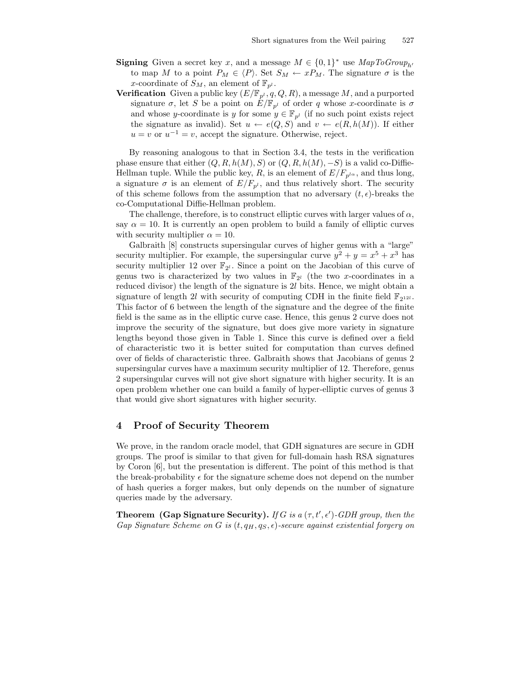- **Signing** Given a secret key x, and a message  $M \in \{0,1\}^*$  use  $MapToGroup_{h'}$ to map M to a point  $P_M \in \langle P \rangle$ . Set  $S_M \leftarrow xP_M$ . The signature  $\sigma$  is the x-coordinate of  $S_M$ , an element of  $\mathbb{F}_{p^l}$ .
- **Verification** Given a public key  $(E/\mathbb{F}_{p^l}, q, Q, R)$ , a message M, and a purported signature  $\sigma$ , let S be a point on  $\hat{E}/\mathbb{F}_{p^l}$  of order q whose x-coordinate is  $\sigma$ and whose y-coordinate is y for some  $y \in \mathbb{F}_{p^l}$  (if no such point exists reject the signature as invalid). Set  $u \leftarrow e(Q, S)$  and  $v \leftarrow e(R, h(M))$ . If either  $u = v$  or  $u^{-1} = v$ , accept the signature. Otherwise, reject.

By reasoning analogous to that in Section 3.4, the tests in the verification phase ensure that either  $(Q, R, h(M), S)$  or  $(Q, R, h(M), -S)$  is a valid co-Diffie-Hellman tuple. While the public key, R, is an element of  $E/F_{p^{l\alpha}}$ , and thus long, a signature  $\sigma$  is an element of  $E/F_{p^l}$ , and thus relatively short. The security of this scheme follows from the assumption that no adversary  $(t, \epsilon)$ -breaks the co-Computational Diffie-Hellman problem.

The challenge, therefore, is to construct elliptic curves with larger values of  $\alpha$ , say  $\alpha = 10$ . It is currently an open problem to build a family of elliptic curves with security multiplier  $\alpha = 10$ .

Galbraith [8] constructs supersingular curves of higher genus with a "large" security multiplier. For example, the supersingular curve  $y^2 + y = x^5 + x^3$  has security multiplier 12 over  $\mathbb{F}_{2^l}$ . Since a point on the Jacobian of this curve of genus two is characterized by two values in  $\mathbb{F}_{2^l}$  (the two x-coordinates in a reduced divisor) the length of the signature is 2l bits. Hence, we might obtain a signature of length 2l with security of computing CDH in the finite field  $\mathbb{F}_{2^{12l}}$ . This factor of 6 between the length of the signature and the degree of the finite field is the same as in the elliptic curve case. Hence, this genus 2 curve does not improve the security of the signature, but does give more variety in signature lengths beyond those given in Table 1. Since this curve is defined over a field of characteristic two it is better suited for computation than curves defined over of fields of characteristic three. Galbraith shows that Jacobians of genus 2 supersingular curves have a maximum security multiplier of 12. Therefore, genus 2 supersingular curves will not give short signature with higher security. It is an open problem whether one can build a family of hyper-elliptic curves of genus 3 that would give short signatures with higher security.

## 4 Proof of Security Theorem

We prove, in the random oracle model, that GDH signatures are secure in GDH groups. The proof is similar to that given for full-domain hash RSA signatures by Coron [6], but the presentation is different. The point of this method is that the break-probability  $\epsilon$  for the signature scheme does not depend on the number of hash queries a forger makes, but only depends on the number of signature queries made by the adversary.

**Theorem** (Gap Signature Security). If G is a  $(\tau, t', \epsilon')$ -GDH group, then the Gap Signature Scheme on G is  $(t, q_H, q_S, \epsilon)$ -secure against existential forgery on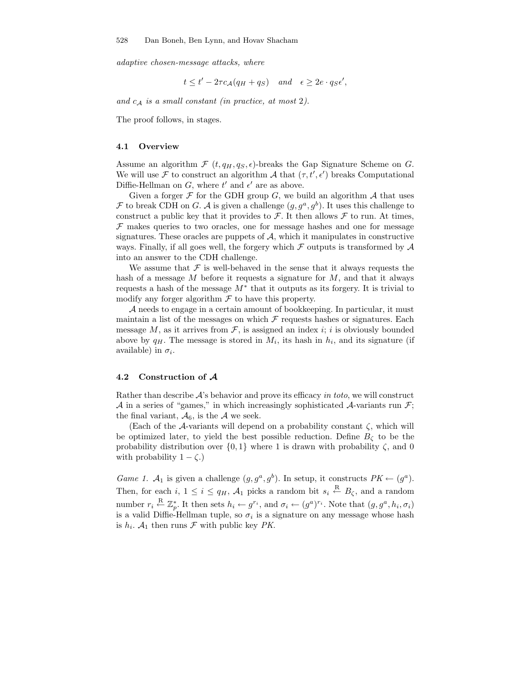adaptive chosen-message attacks, where

 $t \leq t' - 2\tau c_{\mathcal{A}}(q_H + q_S)$  and  $\epsilon \geq 2e \cdot q_S \epsilon'$ ,

and  $c_A$  is a small constant (in practice, at most 2).

The proof follows, in stages.

#### 4.1 Overview

Assume an algorithm  $\mathcal{F}(t, q_H, q_S, \epsilon)$ -breaks the Gap Signature Scheme on G. We will use  $\mathcal F$  to construct an algorithm  $\mathcal A$  that  $(\tau, t', \epsilon')$  breaks Computational Diffie-Hellman on  $G$ , where  $t'$  and  $\epsilon'$  are as above.

Given a forger  $\mathcal F$  for the GDH group G, we build an algorithm  $\mathcal A$  that uses  $\mathcal F$  to break CDH on G. A is given a challenge  $(g, g^a, g^b)$ . It uses this challenge to construct a public key that it provides to  $\mathcal{F}$ . It then allows  $\mathcal{F}$  to run. At times,  $F$  makes queries to two oracles, one for message hashes and one for message signatures. These oracles are puppets of  $A$ , which it manipulates in constructive ways. Finally, if all goes well, the forgery which  $\mathcal F$  outputs is transformed by  $\mathcal A$ into an answer to the CDH challenge.

We assume that  $\mathcal F$  is well-behaved in the sense that it always requests the hash of a message  $M$  before it requests a signature for  $M$ , and that it always requests a hash of the message  $M^*$  that it outputs as its forgery. It is trivial to modify any forger algorithm  $\mathcal F$  to have this property.

A needs to engage in a certain amount of bookkeeping. In particular, it must maintain a list of the messages on which  $\mathcal F$  requests hashes or signatures. Each message M, as it arrives from  $\mathcal F$ , is assigned an index i; i is obviously bounded above by  $q_H$ . The message is stored in  $M_i$ , its hash in  $h_i$ , and its signature (if available) in  $\sigma_i$ .

#### 4.2 Construction of A

Rather than describe  $\mathcal{A}$ 's behavior and prove its efficacy in toto, we will construct A in a series of "games," in which increasingly sophisticated A-variants run  $\mathcal{F}$ ; the final variant,  $\mathcal{A}_6$ , is the A we seek.

(Each of the  $A$ -variants will depend on a probability constant  $\zeta$ , which will be optimized later, to yield the best possible reduction. Define  $B_{\zeta}$  to be the probability distribution over  $\{0,1\}$  where 1 is drawn with probability  $\zeta$ , and 0 with probability  $1 - \zeta$ .)

*Game 1.*  $\mathcal{A}_1$  is given a challenge  $(g, g^a, g^b)$ . In setup, it constructs  $PK \leftarrow (g^a)$ . Then, for each i,  $1 \leq i \leq q_H$ ,  $\mathcal{A}_1$  picks a random bit  $s_i \stackrel{\text{R}}{\leftarrow} B_{\zeta}$ , and a random number  $r_i \stackrel{\text{R}}{\leftarrow} \mathbb{Z}_p^*$ . It then sets  $h_i \leftarrow g^{r_i}$ , and  $\sigma_i \leftarrow (g^a)^{r_i}$ . Note that  $(g, g^a, h_i, \sigma_i)$ is a valid Diffie-Hellman tuple, so  $\sigma_i$  is a signature on any message whose hash is  $h_i$ .  $\mathcal{A}_1$  then runs  $\mathcal F$  with public key PK.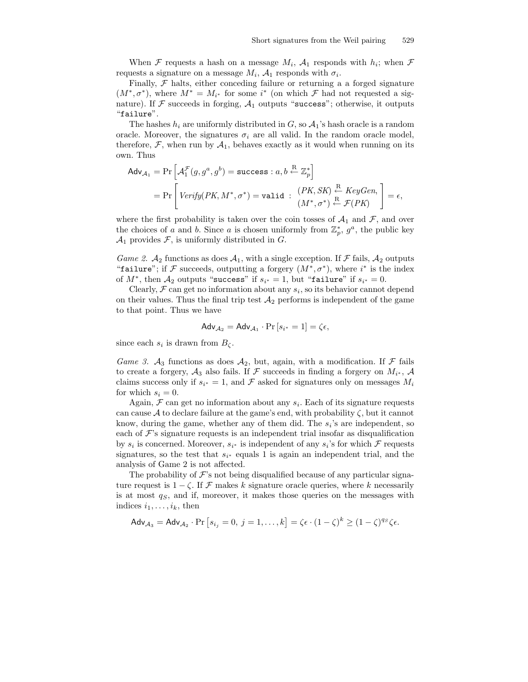When  $\mathcal F$  requests a hash on a message  $M_i$ ,  $\mathcal A_1$  responds with  $h_i$ ; when  $\mathcal F$ requests a signature on a message  $M_i$ ,  $\mathcal{A}_1$  responds with  $\sigma_i$ .

Finally,  $\mathcal F$  halts, either conceding failure or returning a a forged signature  $(M^*, \sigma^*)$ , where  $M^* = M_{i^*}$  for some  $i^*$  (on which  $\mathcal F$  had not requested a signature). If  $\mathcal F$  succeeds in forging,  $\mathcal A_1$  outputs "success"; otherwise, it outputs "failure".

The hashes  $h_i$  are uniformly distributed in G, so  $A_1$ 's hash oracle is a random oracle. Moreover, the signatures  $\sigma_i$  are all valid. In the random oracle model, therefore,  $\mathcal{F}$ , when run by  $\mathcal{A}_1$ , behaves exactly as it would when running on its own. Thus

$$
\begin{aligned}\n\mathsf{Adv}_{\mathcal{A}_1} &= \Pr\left[\mathcal{A}_1^{\mathcal{F}}(g, g^a, g^b) = \text{success} : a, b \stackrel{\mathcal{R}}{\leftarrow} \mathbb{Z}_p^*\right] \\
&= \Pr\left[\text{Verify}(PK, M^*, \sigma^*) = \text{valid} : \begin{array}{c} (PK, SK) \stackrel{\mathcal{R}}{\leftarrow} KeyGen, \\ (M^*, \sigma^*) \stackrel{\mathcal{R}}{\leftarrow} \mathcal{F}(PK)\end{array}\right] = \epsilon,\n\end{aligned}
$$

where the first probability is taken over the coin tosses of  $A_1$  and  $\mathcal{F}$ , and over the choices of a and b. Since a is chosen uniformly from  $\mathbb{Z}_p^*, g^a$ , the public key  $\mathcal{A}_1$  provides F, is uniformly distributed in G.

*Game 2.*  $\mathcal{A}_2$  functions as does  $\mathcal{A}_1$ , with a single exception. If  $\mathcal F$  fails,  $\mathcal{A}_2$  outputs "failure"; if  $\mathcal F$  succeeds, outputting a forgery  $(M^*, \sigma^*)$ , where  $i^*$  is the index of  $M^*$ , then  $\mathcal{A}_2$  outputs "success" if  $s_{i^*} = 1$ , but "failure" if  $s_{i^*} = 0$ .

Clearly,  $\mathcal F$  can get no information about any  $s_i$ , so its behavior cannot depend on their values. Thus the final trip test  $A_2$  performs is independent of the game to that point. Thus we have

$$
Adv_{\mathcal{A}_2} = Adv_{\mathcal{A}_1} \cdot Pr\left[s_{i^*} = 1\right] = \zeta \epsilon,
$$

since each  $s_i$  is drawn from  $B_{\zeta}$ .

Game 3.  $A_3$  functions as does  $A_2$ , but, again, with a modification. If  $\mathcal F$  fails to create a forgery,  $A_3$  also fails. If F succeeds in finding a forgery on  $M_{i^*}$ , A claims success only if  $s_{i^*} = 1$ , and  $\mathcal F$  asked for signatures only on messages  $M_i$ for which  $s_i = 0$ .

Again,  $\mathcal F$  can get no information about any  $s_i$ . Each of its signature requests can cause A to declare failure at the game's end, with probability  $\zeta$ , but it cannot know, during the game, whether any of them did. The  $s_i$ 's are independent, so each of  $\mathcal{F}$ 's signature requests is an independent trial insofar as disqualification by  $s_i$  is concerned. Moreover,  $s_{i^*}$  is independent of any  $s_i$ 's for which  $\mathcal F$  requests signatures, so the test that  $s_{i^*}$  equals 1 is again an independent trial, and the analysis of Game 2 is not affected.

The probability of  $\mathcal{F}$ 's not being disqualified because of any particular signature request is  $1 - \zeta$ . If F makes k signature oracle queries, where k necessarily is at most  $q<sub>S</sub>$ , and if, moreover, it makes those queries on the messages with indices  $i_1, \ldots, i_k$ , then

$$
\mathsf{Adv}_{\mathcal{A}_3} = \mathsf{Adv}_{\mathcal{A}_2} \cdot \Pr\left[s_{i_j} = 0, \ j = 1, \dots, k\right] = \zeta \epsilon \cdot (1 - \zeta)^k \ge (1 - \zeta)^{q_S} \zeta \epsilon.
$$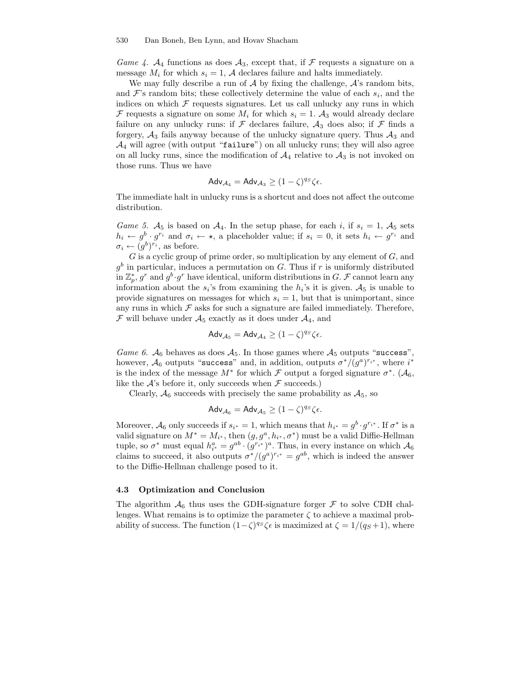#### 530 Dan Boneh, Ben Lynn, and Hovav Shacham

Game 4.  $A_4$  functions as does  $A_3$ , except that, if F requests a signature on a message  $M_i$  for which  $s_i = 1$ , A declares failure and halts immediately.

We may fully describe a run of  $A$  by fixing the challenge,  $A$ 's random bits, and  $\mathcal{F}$ 's random bits; these collectively determine the value of each  $s_i$ , and the indices on which  $\mathcal F$  requests signatures. Let us call unlucky any runs in which F requests a signature on some  $M_i$  for which  $s_i = 1$ .  $A_3$  would already declare failure on any unlucky runs: if  $\mathcal F$  declares failure,  $\mathcal A_3$  does also; if  $\mathcal F$  finds a forgery,  $A_3$  fails anyway because of the unlucky signature query. Thus  $A_3$  and  $\mathcal{A}_4$  will agree (with output "failure") on all unlucky runs; they will also agree on all lucky runs, since the modification of  $A_4$  relative to  $A_3$  is not invoked on those runs. Thus we have

$$
\mathsf{Adv}_{\mathcal{A}_4} = \mathsf{Adv}_{\mathcal{A}_3} \ge (1 - \zeta)^{q_S} \zeta \epsilon.
$$

The immediate halt in unlucky runs is a shortcut and does not affect the outcome distribution.

Game 5.  $A_5$  is based on  $A_4$ . In the setup phase, for each i, if  $s_i = 1$ ,  $A_5$  sets  $h_i \leftarrow g^b \cdot g^{r_i}$  and  $\sigma_i \leftarrow \star$ , a placeholder value; if  $s_i = 0$ , it sets  $h_i \leftarrow g^{r_i}$  and  $\sigma_i \leftarrow (g^b)^{r_i}$ , as before.

 $G$  is a cyclic group of prime order, so multiplication by any element of  $G$ , and  $g<sup>b</sup>$  in particular, induces a permutation on G. Thus if r is uniformly distributed in  $\mathbb{Z}_p^*, g^r$  and  $g^b \cdot g^r$  have identical, uniform distributions in  $G$ .  $\mathcal F$  cannot learn any information about the  $s_i$ 's from examining the  $h_i$ 's it is given.  $A_5$  is unable to provide signatures on messages for which  $s_i = 1$ , but that is unimportant, since any runs in which  $\mathcal F$  asks for such a signature are failed immediately. Therefore,  $\mathcal F$  will behave under  $\mathcal A_5$  exactly as it does under  $\mathcal A_4$ , and

$$
Adv_{A_5} = Adv_{A_4} \ge (1 - \zeta)^{qs} \zeta \epsilon.
$$

Game 6.  $A_6$  behaves as does  $A_5$ . In those games where  $A_5$  outputs "success", however,  $\mathcal{A}_6$  outputs "success" and, in addition, outputs  $\sigma^*/(g^a)^{r_{i^*}}$ , where  $i^*$ is the index of the message  $M^*$  for which  $\mathcal F$  output a forged signature  $\sigma^*$ . ( $\mathcal A_6$ , like the  $\mathcal{A}$ 's before it, only succeeds when  $\mathcal{F}$  succeeds.)

Clearly,  $A_6$  succeeds with precisely the same probability as  $A_5$ , so

$$
\mathsf{Adv}_{\mathcal{A}_6} = \mathsf{Adv}_{\mathcal{A}_5} \geq (1-\zeta)^{qs} \zeta \epsilon.
$$

Moreover,  $\mathcal{A}_6$  only succeeds if  $s_{i^*} = 1$ , which means that  $h_{i^*} = g^b \cdot g^{r_{i^*}}$ . If  $\sigma^*$  is a valid signature on  $M^* = M_{i^*}$ , then  $(g, g^a, h_{i^*}, \sigma^*)$  must be a valid Diffie-Hellman tuple, so  $\sigma^*$  must equal  $h_{i^*}^a = g^{ab} \cdot (g^{r_{i^*}})^a$ . Thus, in every instance on which  $\mathcal{A}_6$ claims to succeed, it also outputs  $\sigma^*/(g^a)^{r_{i^*}} = g^{ab}$ , which is indeed the answer to the Diffie-Hellman challenge posed to it.

#### 4.3 Optimization and Conclusion

The algorithm  $\mathcal{A}_6$  thus uses the GDH-signature forger  $\mathcal F$  to solve CDH challenges. What remains is to optimize the parameter  $\zeta$  to achieve a maximal probability of success. The function  $(1-\zeta)^{qs} \zeta \epsilon$  is maximized at  $\zeta = 1/(q_S+1)$ , where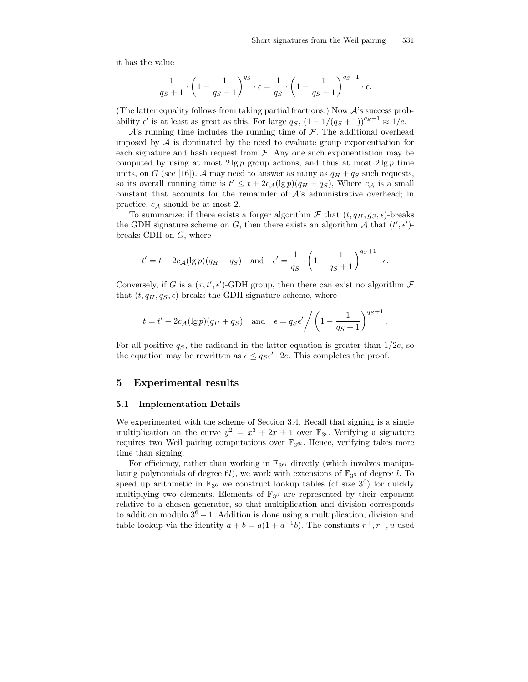it has the value

$$
\frac{1}{q_S+1} \cdot \left(1 - \frac{1}{q_S+1}\right)^{q_S} \cdot \epsilon = \frac{1}{q_S} \cdot \left(1 - \frac{1}{q_S+1}\right)^{q_S+1} \cdot \epsilon.
$$

(The latter equality follows from taking partial fractions.) Now  $A$ 's success probability  $\epsilon'$  is at least as great as this. For large  $q_S$ ,  $(1 - 1/(q_S + 1))^{q_S+1} \approx 1/e$ .

 $\mathcal{A}$ 's running time includes the running time of  $\mathcal{F}$ . The additional overhead imposed by  $A$  is dominated by the need to evaluate group exponentiation for each signature and hash request from  $\mathcal F$ . Any one such exponentiation may be computed by using at most  $2 \lg p$  group actions, and thus at most  $2 \lg p$  time units, on G (see [16]). A may need to answer as many as  $q_H + q_S$  such requests, so its overall running time is  $t' \leq t + 2c_{\mathcal{A}}(\lg p)(q_H + q_S)$ , Where  $c_{\mathcal{A}}$  is a small constant that accounts for the remainder of  $A$ 's administrative overhead; in practice,  $c_A$  should be at most 2.

To summarize: if there exists a forger algorithm  $\mathcal F$  that  $(t, q_H, g_S, \epsilon)$ -breaks the GDH signature scheme on G, then there exists an algorithm  $A$  that  $(t', \epsilon')$ breaks CDH on G, where

$$
t' = t + 2c_{\mathcal{A}}(\lg p)(q_H + q_S)
$$
 and  $\epsilon' = \frac{1}{q_S} \cdot \left(1 - \frac{1}{q_S + 1}\right)^{q_S + 1} \cdot \epsilon$ .

Conversely, if G is a  $(\tau, t', \epsilon')$ -GDH group, then there can exist no algorithm  $\mathcal F$ that  $(t, q_H, q_S, \epsilon)$ -breaks the GDH signature scheme, where

$$
t = t' - 2c_{\mathcal{A}}(\lg p)(q_H + q_S)
$$
 and  $\epsilon = q_S \epsilon' / (1 - \frac{1}{q_S + 1})^{q_S + 1}$ .

For all positive  $q_s$ , the radicand in the latter equation is greater than  $1/2e$ , so the equation may be rewritten as  $\epsilon \leq q_S \epsilon' \cdot 2e$ . This completes the proof.

### 5 Experimental results

#### 5.1 Implementation Details

We experimented with the scheme of Section 3.4. Recall that signing is a single multiplication on the curve  $y^2 = x^3 + 2x \pm 1$  over  $\mathbb{F}_{3^l}$ . Verifying a signature requires two Weil pairing computations over  $\mathbb{F}_{3^{6l}}$ . Hence, verifying takes more time than signing.

For efficiency, rather than working in  $\mathbb{F}_{3^{6l}}$  directly (which involves manipulating polynomials of degree  $6l$ ), we work with extensions of  $\mathbb{F}_{3^6}$  of degree l. To speed up arithmetic in  $\mathbb{F}_{3^6}$  we construct lookup tables (of size  $3^6$ ) for quickly multiplying two elements. Elements of  $\mathbb{F}_{3^6}$  are represented by their exponent relative to a chosen generator, so that multiplication and division corresponds to addition modulo  $3<sup>6</sup> - 1$ . Addition is done using a multiplication, division and table lookup via the identity  $a + b = a(1 + a^{-1}b)$ . The constants  $r^+, r^-, u$  used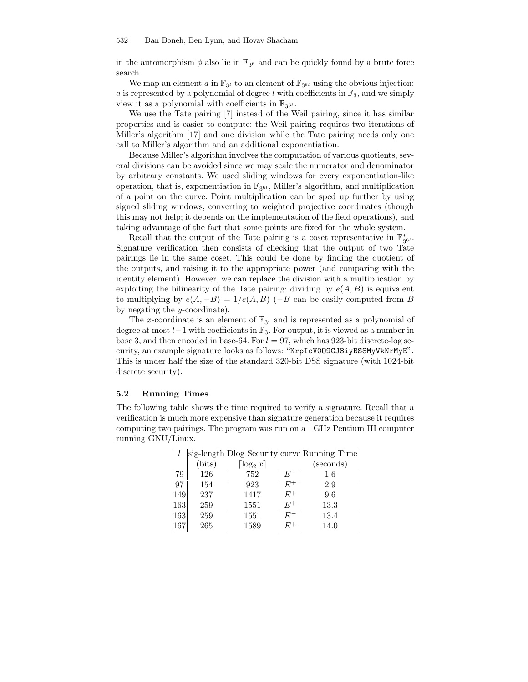in the automorphism  $\phi$  also lie in  $\mathbb{F}_{3^6}$  and can be quickly found by a brute force search.

We map an element a in  $\mathbb{F}_{3^l}$  to an element of  $\mathbb{F}_{3^{6l}}$  using the obvious injection: a is represented by a polynomial of degree l with coefficients in  $\mathbb{F}_3$ , and we simply view it as a polynomial with coefficients in  $\mathbb{F}_{3^{6l}}$ .

We use the Tate pairing [7] instead of the Weil pairing, since it has similar properties and is easier to compute: the Weil pairing requires two iterations of Miller's algorithm [17] and one division while the Tate pairing needs only one call to Miller's algorithm and an additional exponentiation.

Because Miller's algorithm involves the computation of various quotients, several divisions can be avoided since we may scale the numerator and denominator by arbitrary constants. We used sliding windows for every exponentiation-like operation, that is, exponentiation in  $\mathbb{F}_{3^{6l}}$ , Miller's algorithm, and multiplication of a point on the curve. Point multiplication can be sped up further by using signed sliding windows, converting to weighted projective coordinates (though this may not help; it depends on the implementation of the field operations), and taking advantage of the fact that some points are fixed for the whole system.

Recall that the output of the Tate pairing is a coset representative in  $\mathbb{F}_{3^{6l}}^*$ . Signature verification then consists of checking that the output of two Tate pairings lie in the same coset. This could be done by finding the quotient of the outputs, and raising it to the appropriate power (and comparing with the identity element). However, we can replace the division with a multiplication by exploiting the bilinearity of the Tate pairing: dividing by  $e(A, B)$  is equivalent to multiplying by  $e(A, -B) = 1/e(A, B)$  (−B can be easily computed from B by negating the  $y$ -coordinate).

The x-coordinate is an element of  $\mathbb{F}_{3^l}$  and is represented as a polynomial of degree at most l−1 with coefficients in F3. For output, it is viewed as a number in base 3, and then encoded in base-64. For  $l = 97$ , which has 923-bit discrete-log security, an example signature looks as follows: "KrpIcV0O9CJ8iyBS8MyVkNrMyE". This is under half the size of the standard 320-bit DSS signature (with 1024-bit discrete security).

### 5.2 Running Times

The following table shows the time required to verify a signature. Recall that a verification is much more expensive than signature generation because it requires computing two pairings. The program was run on a 1 GHz Pentium III computer running GNU/Linux.

|     |        |                          |       | sig-length Dlog Security curve Running Time |
|-----|--------|--------------------------|-------|---------------------------------------------|
|     | (bits) | $\lceil \log_2 x \rceil$ |       | (seconds)                                   |
| 79  | 126    | 752                      |       | $1.6\,$                                     |
| 97  | 154    | 923                      | $E^+$ | 2.9                                         |
| 149 | 237    | 1417                     | $E^+$ | 9.6                                         |
| 163 | 259    | 1551                     | $E^+$ | 13.3                                        |
| 163 | 259    | 1551                     | $E^-$ | 13.4                                        |
| 167 | 265    | 1589                     | H''   | 14.0                                        |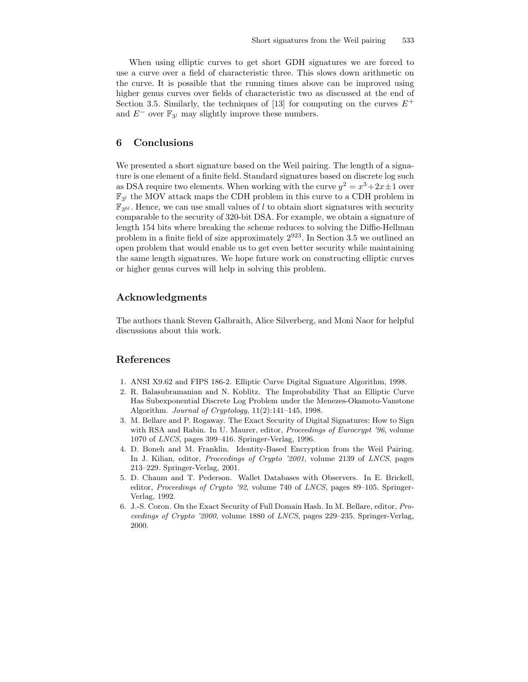When using elliptic curves to get short GDH signatures we are forced to use a curve over a field of characteristic three. This slows down arithmetic on the curve. It is possible that the running times above can be improved using higher genus curves over fields of characteristic two as discussed at the end of Section 3.5. Similarly, the techniques of [13] for computing on the curves  $E^+$ and  $E^-$  over  $\mathbb{F}_{3^l}$  may slightly improve these numbers.

# 6 Conclusions

We presented a short signature based on the Weil pairing. The length of a signature is one element of a finite field. Standard signatures based on discrete log such as DSA require two elements. When working with the curve  $y^2 = x^3 + 2x \pm 1$  over  $\mathbb{F}_{3^l}$  the MOV attack maps the CDH problem in this curve to a CDH problem in  $\mathbb{F}_{3^{6l}}$ . Hence, we can use small values of l to obtain short signatures with security comparable to the security of 320-bit DSA. For example, we obtain a signature of length 154 bits where breaking the scheme reduces to solving the Diffie-Hellman problem in a finite field of size approximately  $2^{923}$ . In Section 3.5 we outlined an open problem that would enable us to get even better security while maintaining the same length signatures. We hope future work on constructing elliptic curves or higher genus curves will help in solving this problem.

# Acknowledgments

The authors thank Steven Galbraith, Alice Silverberg, and Moni Naor for helpful discussions about this work.

# References

- 1. ANSI X9.62 and FIPS 186-2. Elliptic Curve Digital Signature Algorithm, 1998.
- 2. R. Balasubramanian and N. Koblitz. The Improbability That an Elliptic Curve Has Subexponential Discrete Log Problem under the Menezes-Okamoto-Vanstone Algorithm. Journal of Cryptology, 11(2):141–145, 1998.
- 3. M. Bellare and P. Rogaway. The Exact Security of Digital Signatures: How to Sign with RSA and Rabin. In U. Maurer, editor, *Proceedings of Eurocrypt '96*, volume 1070 of LNCS, pages 399–416. Springer-Verlag, 1996.
- 4. D. Boneh and M. Franklin. Identity-Based Encryption from the Weil Pairing. In J. Kilian, editor, Proceedings of Crypto '2001, volume 2139 of LNCS, pages 213–229. Springer-Verlag, 2001.
- 5. D. Chaum and T. Pederson. Wallet Databases with Observers. In E. Brickell, editor, Proceedings of Crypto '92, volume 740 of LNCS, pages 89–105. Springer-Verlag, 1992.
- 6. J.-S. Coron. On the Exact Security of Full Domain Hash. In M. Bellare, editor, Proceedings of Crypto '2000, volume 1880 of LNCS, pages 229–235. Springer-Verlag, 2000.